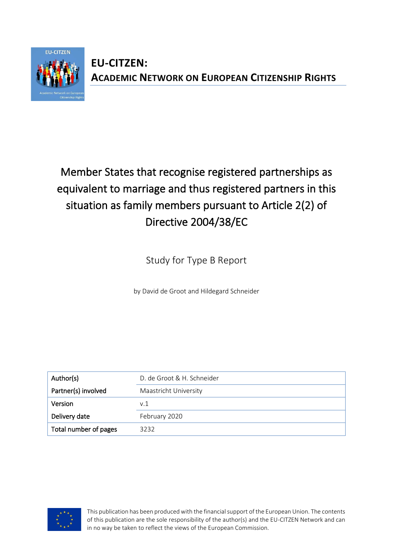

## **EU-CITZEN: ACADEMIC NETWORK ON EUROPEAN CITIZENSHIP RIGHTS**

# Member States that recognise registered partnerships as equivalent to marriage and thus registered partners in this situation as family members pursuant to Article 2(2) of Directive 2004/38/EC

Study for Type B Report

by David de Groot and Hildegard Schneider

| Author(s)             | D. de Groot & H. Schneider |  |  |
|-----------------------|----------------------------|--|--|
| Partner(s) involved   | Maastricht University      |  |  |
| Version               | v.1                        |  |  |
| Delivery date         | February 2020              |  |  |
| Total number of pages | 3232                       |  |  |



This publication has been produced with the financial support of the European Union. The contents of this publication are the sole responsibility of the author(s) and the EU-CITZEN Network and can in no way be taken to reflect the views of the European Commission.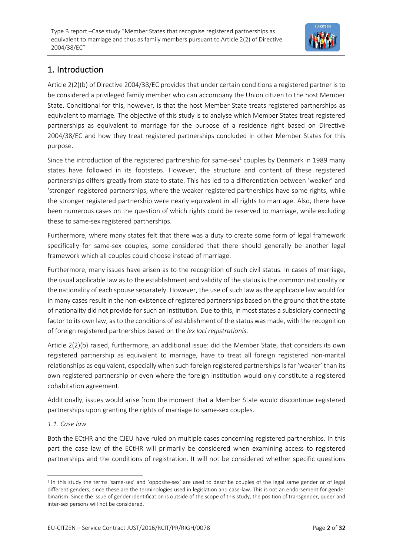

### 1. Introduction

Article 2(2)(b) of Directive 2004/38/EC provides that under certain conditions a registered partner is to be considered a privileged family member who can accompany the Union citizen to the host Member State. Conditional for this, however, is that the host Member State treats registered partnerships as equivalent to marriage. The objective of this study is to analyse which Member States treat registered partnerships as equivalent to marriage for the purpose of a residence right based on Directive 2004/38/EC and how they treat registered partnerships concluded in other Member States for this purpose.

Since the introduction of the registered partnership for same-sex $^1$  couples by Denmark in 1989 many states have followed in its footsteps. However, the structure and content of these registered partnerships differs greatly from state to state. This has led to a differentiation between 'weaker' and 'stronger' registered partnerships, where the weaker registered partnerships have some rights, while the stronger registered partnership were nearly equivalent in all rights to marriage. Also, there have been numerous cases on the question of which rights could be reserved to marriage, while excluding these to same-sex registered partnerships.

Furthermore, where many states felt that there was a duty to create some form of legal framework specifically for same-sex couples, some considered that there should generally be another legal framework which all couples could choose instead of marriage.

Furthermore, many issues have arisen as to the recognition of such civil status. In cases of marriage, the usual applicable law as to the establishment and validity of the status is the common nationality or the nationality of each spouse separately. However, the use of such law as the applicable law would for in many cases result in the non-existence of registered partnerships based on the ground that the state of nationality did not provide for such an institution. Due to this, in most states a subsidiary connecting factor to its own law, as to the conditions of establishment of the status was made, with the recognition of foreign registered partnerships based on the *lex loci registrationis*.

Article 2(2)(b) raised, furthermore, an additional issue: did the Member State, that considers its own registered partnership as equivalent to marriage, have to treat all foreign registered non-marital relationships as equivalent, especially when such foreign registered partnerships is far 'weaker' than its own registered partnership or even where the foreign institution would only constitute a registered cohabitation agreement.

Additionally, issues would arise from the moment that a Member State would discontinue registered partnerships upon granting the rights of marriage to same-sex couples.

#### *1.1. Case law*

Both the ECtHR and the CJEU have ruled on multiple cases concerning registered partnerships. In this part the case law of the ECtHR will primarily be considered when examining access to registered partnerships and the conditions of registration. It will not be considered whether specific questions

<sup>&</sup>lt;sup>1</sup> In this study the terms 'same-sex' and 'opposite-sex' are used to describe couples of the legal same gender or of legal different genders, since these are the terminologies used in legislation and case-law. This is not an endorsement for gender binarism. Since the issue of gender identification is outside of the scope of this study, the position of transgender, queer and inter-sex persons will not be considered.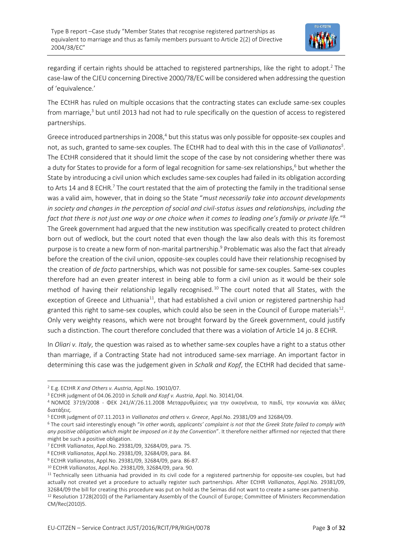

regarding if certain rights should be attached to registered partnerships, like the right to adopt.<sup>2</sup> The case-law of the CJEU concerning Directive 2000/78/EC will be considered when addressing the question of 'equivalence.'

The ECtHR has ruled on multiple occasions that the contracting states can exclude same-sex couples from marriage,<sup>3</sup> but until 2013 had not had to rule specifically on the question of access to registered partnerships.

Greece introduced partnerships in 2008, $4$  but this status was only possible for opposite-sex couples and not, as such, granted to same-sex couples. The ECtHR had to deal with this in the case of *Vallianatos<sup>5</sup>* . The ECtHR considered that it should limit the scope of the case by not considering whether there was a duty for States to provide for a form of legal recognition for same-sex relationships,<sup>6</sup> but whether the State by introducing a civil union which excludes same-sex couples had failed in its obligation according to Arts 14 and 8 ECHR.<sup>7</sup> The court restated that the aim of protecting the family in the traditional sense was a valid aim, however, that in doing so the State "*must necessarily take into account developments in society and changes in the perception of social and civil-status issues and relationships, including the fact that there is not just one way or one choice when it comes to leading one's family or private life.*" 8 The Greek government had argued that the new institution was specifically created to protect children born out of wedlock, but the court noted that even though the law also deals with this its foremost purpose is to create a new form of non-marital partnership.<sup>9</sup> Problematic was also the fact that already before the creation of the civil union, opposite-sex couples could have their relationship recognised by the creation of *de facto* partnerships, which was not possible for same-sex couples. Same-sex couples therefore had an even greater interest in being able to form a civil union as it would be their sole method of having their relationship legally recognised.<sup>10</sup> The court noted that all States, with the exception of Greece and Lithuania<sup>11</sup>, that had established a civil union or registered partnership had granted this right to same-sex couples, which could also be seen in the Council of Europe materials<sup>12</sup>. Only very weighty reasons, which were not brought forward by the Greek government, could justify such a distinction. The court therefore concluded that there was a violation of Article 14 jo. 8 ECHR.

In *Oliari v. Italy*, the question was raised as to whether same-sex couples have a right to a status other than marriage, if a Contracting State had not introduced same-sex marriage. An important factor in determining this case was the judgement given in *Schalk and Kopf*, the ECtHR had decided that same-

<sup>2</sup> E.g. ECtHR *X and Others v. Austria*, Appl.No. 19010/07.

<sup>3</sup> ECtHR judgment of 04.06.2010 in *Schalk and Kopf v. Austria*, Appl. No. 30141/04.

<sup>4</sup> ΝΟΜΟΣ 3719/2008 - ΦΕΚ 241/Α'/26.11.2008 Μεταρρυθμίσεις για την οικογένεια, το παιδί, την κοινωνία και άλλες διατάξεις.

<sup>5</sup> ECtHR judgment of 07.11.2013 in *Vallianatos and others v. Greece*, Appl.No. 29381/09 and 32684/09.

<sup>6</sup> The court said interestingly enough "*In other words, applicants' complaint is not that the Greek State failed to comply with any positive obligation which might be imposed on it by the Convention*". It therefore neither affirmed nor rejected that there might be such a positive obligation.

<sup>7</sup> ECtHR *Vallianatos*, Appl.No. 29381/09, 32684/09, para. 75.

<sup>8</sup> ECtHR *Vallianatos*, Appl.No. 29381/09, 32684/09, para. 84.

<sup>9</sup> ECtHR *Vallianatos*, Appl.No. 29381/09, 32684/09, para. 86-87.

<sup>10</sup> ECtHR *Vallianatos*, Appl.No. 29381/09, 32684/09, para. 90.

<sup>&</sup>lt;sup>11</sup> Technically seen Lithuania had provided in its civil code for a registered partnership for opposite-sex couples, but had actually not created yet a procedure to actually register such partnerships. After ECtHR *Vallianatos*, Appl.No. 29381/09, 32684/09 the bill for creating this procedure was put on hold as the Seimas did not want to create a same-sex partnership. <sup>12</sup> Resolution 1728(2010) of the Parliamentary Assembly of the Council of Europe; Committee of Ministers Recommendation CM/Rec(2010)5.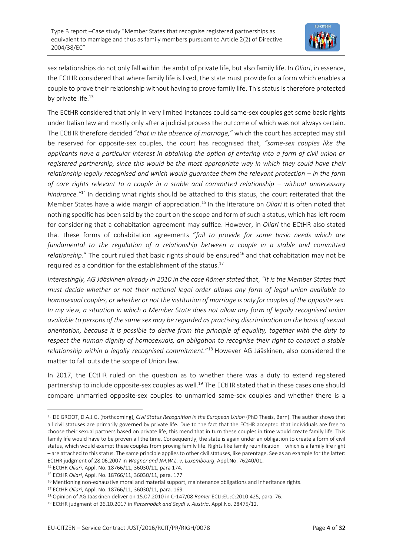

sex relationships do not only fall within the ambit of private life, but also family life. In *Oliari*, in essence, the ECtHR considered that where family life is lived, the state must provide for a form which enables a couple to prove their relationship without having to prove family life. This status is therefore protected by private life.<sup>13</sup>

The ECtHR considered that only in very limited instances could same-sex couples get some basic rights under Italian law and mostly only after a judicial process the outcome of which was not always certain. The ECtHR therefore decided "*that in the absence of marriage,"* which the court has accepted may still be reserved for opposite-sex couples, the court has recognised that, *"same-sex couples like the applicants have a particular interest in obtaining the option of entering into a form of civil union or registered partnership, since this would be the most appropriate way in which they could have their relationship legally recognised and which would guarantee them the relevant protection – in the form of core rights relevant to a couple in a stable and committed relationship – without unnecessary hindrance."*<sup>14</sup> In deciding what rights should be attached to this status, the court reiterated that the Member States have a wide margin of appreciation.<sup>15</sup> In the literature on *Oliari* it is often noted that nothing specific has been said by the court on the scope and form of such a status, which has left room for considering that a cohabitation agreement may suffice. However, in *Oliari* the ECtHR also stated that these forms of cohabitation agreements "*fail to provide for some basic needs which are*  fundamental to the regulation of a relationship between a couple in a stable and committed *relationship*." The court ruled that basic rights should be ensured<sup>16</sup> and that cohabitation may not be required as a condition for the establishment of the status.<sup>17</sup>

*Interestingly, AG Jääskinen already in 2010 in the case Römer stated* that, *"It is the Member States that must decide whether or not their national legal order allows any form of legal union available to homosexual couples, or whether or not the institution of marriage is only for couples of the opposite sex. In my view, a situation in which a Member State does not allow any form of legally recognised union available to persons of the same sex may be regarded as practising discrimination on the basis of sexual orientation, because it is possible to derive from the principle of equality, together with the duty to respect the human dignity of homosexuals, an obligation to recognise their right to conduct a stable relationship within a legally recognised commitment.*" <sup>18</sup> However AG Jääskinen, also considered the matter to fall outside the scope of Union law.

In 2017, the ECtHR ruled on the question as to whether there was a duty to extend registered partnership to include opposite-sex couples as well.<sup>19</sup> The ECtHR stated that in these cases one should compare unmarried opposite-sex couples to unmarried same-sex couples and whether there is a

<sup>13</sup> DE GROOT, D.A.J.G. (forthcoming), *Civil Status Recognition in the European Union* (PhD Thesis, Bern). The author shows that all civil statuses are primarily governed by private life. Due to the fact that the ECtHR accepted that individuals are free to choose their sexual partners based on private life, this mend that in turn these couples in time would create family life. This family life would have to be proven all the time. Consequently, the state is again under an obligation to create a form of civil status, which would exempt these couples from proving family life. Rights like family reunification – which is a family life right – are attached to this status. The same principle applies to other civil statuses, like parentage. See as an example for the latter: ECtHR judgment of 28.06.2007 in *Wagner and JM.W.L. v. Luxembourg*, Appl.No. 76240/01.

<sup>14</sup> ECtHR *Oliari*, Appl. No. 18766/11, 36030/11, para 174.

<sup>15</sup> ECtHR *Oliari*, Appl. No. 18766/11, 36030/11, para. 177

<sup>&</sup>lt;sup>16</sup> Mentioning non-exhaustive moral and material support, maintenance obligations and inheritance rights.

<sup>17</sup> ECtHR *Oliari*, Appl. No. 18766/11, 36030/11*,* para. 169.

<sup>18</sup> Opinion of AG Jääskinen deliver on 15.07.2010 in C-147/08 *Römer* ECLI:EU:C:2010:425, para. 76.

<sup>19</sup> ECtHR judgment of 26.10.2017 in *Ratzenböck and Seydl v. Austria*, Appl.No. 28475/12.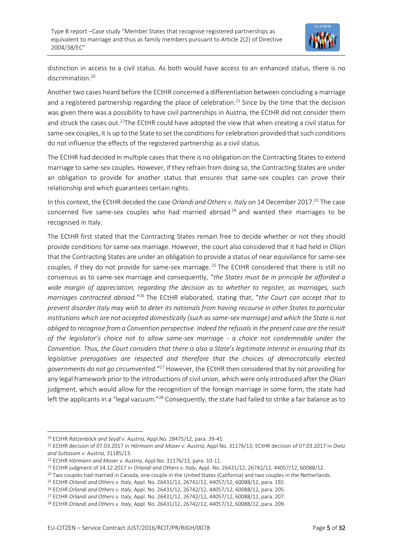

distinction in access to a civil status. As both would have access to an enhanced status, there is no discrimination<sup>20</sup>

Another two cases heard before the ECtHR concerned a differentiation between concluding a marriage and a registered partnership regarding the place of celebration.<sup>21</sup> Since by the time that the decision was given there was a possibility to have civil partnerships in Austria, the ECtHR did not consider them and struck the cases out.<sup>22</sup>The ECtHR could have adopted the view that when creating a civil status for same-sex couples, it is up to the State to set the conditions for celebration provided that such conditions do not influence the effects of the registered partnership as a civil status.

The ECtHR had decided in multiple cases that there is no obligation on the Contracting States to extend marriage to same-sex couples. However, if they refrain from doing so, the Contracting States are under an obligation to provide for another status that ensures that same-sex couples can prove their relationship and which guarantees certain rights.

In this context, the ECtHR decided the case *Orlandi and Others v. Italy* on 14 December 2017.<sup>23</sup> The case concerned five same-sex couples who had married abroad <sup>24</sup> and wanted their marriages to be recognised in Italy.

The ECtHR first stated that the Contracting States remain free to decide whether or not they should provide conditions for same-sex marriage. However, the court also considered that it had held in *Oliari* that the Contracting States are under an obligation to provide a status of near equivilance for same-sex couples, if they do not provide for same-sex marriage. <sup>25</sup> The ECtHR considered that there is still no consensus as to same-sex marriage and consequently, "*the States must be in principle be afforded a wide margin of appreciation, regarding the decision as to whether to register, as marriages, such marriages contracted abroad."<sup>26</sup>* The ECtHR elaborated, stating that, "*the Court can accept that to prevent disorder Italy may wish to deter its nationals from having recourse in other States to particular institutions which are not accepted domestically (such as same-sex marriage) and which the State is not obliged to recognise from a Convention perspective. Indeed the refusals in the present case are the result of the legislator's choice not to allow same-sex marriage - a choice not condemnable under the Convention. Thus, the Court considers that there is also a State's legitimate interest in ensuring that its legislative prerogatives are respected and therefore that the choices of democratically elected governments do not go circumvented."*<sup>27</sup> However, the ECtHR then considered that by not providing for any legal framework prior to the introductions of civil union, which were only introduced after the *Oliari*  judgment, which would allow for the recognition of the foreign marriage in some form, the state had left the applicants in a "legal vacuum."<sup>28</sup> Consequently, the state had failed to strike a fair balance as to

<sup>20</sup> ECtHR *Ratzenböck and Seydl v. Austria*, Appl.No. 28475/12, para. 39-41.

<sup>21</sup> ECtHR decision of 07.03.2017 in *Hörmann and Moser v. Austria*, Appl.No. 31176/13; ECtHR decision of 07.03.2017 in *Dietz and Suttasom v. Austria*, 31185/13.

<sup>22</sup> ECtHR *Hörmann and Moser v. Austria*, Appl.No. 31176/13, para. 10-11.

<sup>23</sup> ECtHR judgment of 14.12.2017 in *Orlandi and Others v. Italy*, Appl. No. 26431/12, 26742/12, 44057/12, 60088/12.

<sup>&</sup>lt;sup>24</sup> Two couples had married in Canada, one couple in the United States (California) and two couples in the Netherlands.

<sup>25</sup> ECtHR *Orlandi and Others v. Italy*, Appl. No. 26431/12, 26742/12, 44057/12, 60088/12, para. 192.

<sup>26</sup> ECtHR *Orlandi and Others v. Italy*, Appl. No. 26431/12, 26742/12, 44057/12, 60088/12, para. 205.

<sup>27</sup> ECtHR *Orlandi and Others v. Italy*, Appl. No. 26431/12, 26742/12, 44057/12, 60088/12, para. 207.

<sup>28</sup> ECtHR *Orlandi and Others v. Italy*, Appl. No. 26431/12, 26742/12, 44057/12, 60088/12, para. 209.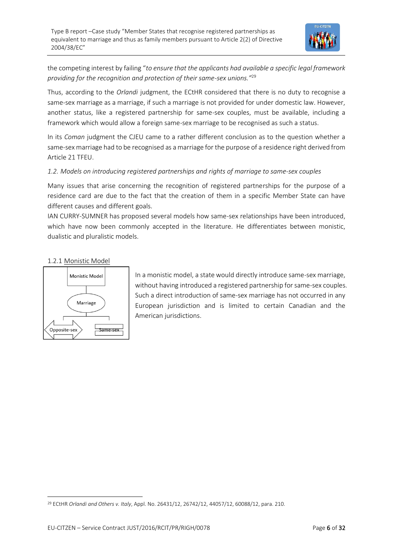

the competing interest by failing "*to ensure that the applicants had available a specific legal framework providing for the recognition and protection of their same-sex unions."*<sup>29</sup>

Thus, according to the *Orlandi* judgment, the ECtHR considered that there is no duty to recognise a same-sex marriage as a marriage, if such a marriage is not provided for under domestic law. However, another status, like a registered partnership for same-sex couples, must be available, including a framework which would allow a foreign same-sex marriage to be recognised as such a status.

In its *Coman* judgment the CJEU came to a rather different conclusion as to the question whether a same-sex marriage had to be recognised as a marriage for the purpose of a residence right derived from Article 21 TFEU.

#### *1.2. Models on introducing registered partnerships and rights of marriage to same-sex couples*

Many issues that arise concerning the recognition of registered partnerships for the purpose of a residence card are due to the fact that the creation of them in a specific Member State can have different causes and different goals.

IAN CURRY-SUMNER has proposed several models how same-sex relationships have been introduced, which have now been commonly accepted in the literature. He differentiates between monistic, dualistic and pluralistic models.

#### 1.2.1 Monistic Model



In a monistic model, a state would directly introduce same-sex marriage, without having introduced a registered partnership for same-sex couples. Such a direct introduction of same-sex marriage has not occurred in any European jurisdiction and is limited to certain Canadian and the American jurisdictions.

<sup>29</sup> ECtHR *Orlandi and Others v. Italy*, Appl. No. 26431/12, 26742/12, 44057/12, 60088/12, para. 210.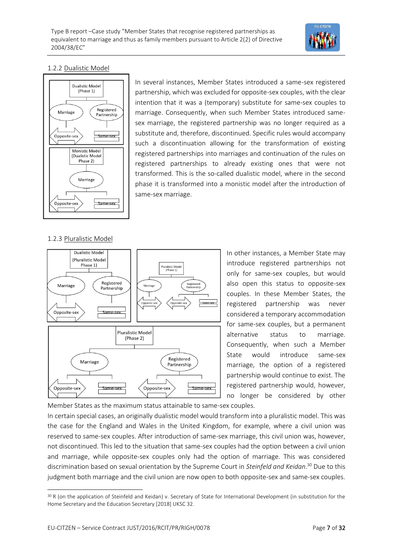

#### 1.2.2 Dualistic Model



In several instances, Member States introduced a same-sex registered partnership, which was excluded for opposite-sex couples, with the clear intention that it was a (temporary) substitute for same-sex couples to marriage. Consequently, when such Member States introduced samesex marriage, the registered partnership was no longer required as a substitute and, therefore, discontinued. Specific rules would accompany such a discontinuation allowing for the transformation of existing registered partnerships into marriages and continuation of the rules on registered partnerships to already existing ones that were not transformed. This is the so-called dualistic model, where in the second phase it is transformed into a monistic model after the introduction of same-sex marriage.

#### 1.2.3 Pluralistic Model



In other instances, a Member State may introduce registered partnerships not only for same-sex couples, but would also open this status to opposite-sex couples. In these Member States, the registered partnership was never considered a temporary accommodation for same-sex couples, but a permanent alternative status to marriage. Consequently, when such a Member State would introduce same-sex marriage, the option of a registered partnership would continue to exist. The registered partnership would, however, no longer be considered by other

Member States as the maximum status attainable to same-sex couples. In certain special cases, an originally dualistic model would transform into a pluralistic model. This was the case for the England and Wales in the United Kingdom, for example, where a civil union was reserved to same-sex couples. After introduction of same-sex marriage, this civil union was, however, not discontinued. This led to the situation that same-sex couples had the option between a civil union and marriage, while opposite-sex couples only had the option of marriage. This was considered discrimination based on sexual orientation by the Supreme Court in *Steinfeld and Keidan*. <sup>30</sup> Due to this judgment both marriage and the civil union are now open to both opposite-sex and same-sex couples.

<sup>30</sup> R (on the application of Steinfeld and Keidan) v. Secretary of State for International Development (in substitution for the Home Secretary and the Education Secretary [2018] UKSC 32.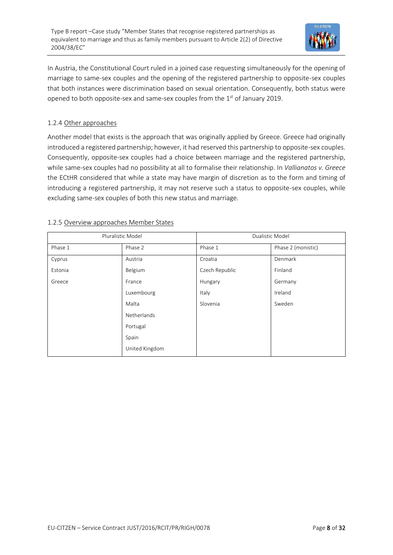

In Austria, the Constitutional Court ruled in a joined case requesting simultaneously for the opening of marriage to same-sex couples and the opening of the registered partnership to opposite-sex couples that both instances were discrimination based on sexual orientation. Consequently, both status were opened to both opposite-sex and same-sex couples from the  $1<sup>st</sup>$  of January 2019.

#### 1.2.4 Other approaches

Another model that exists is the approach that was originally applied by Greece. Greece had originally introduced a registered partnership; however, it had reserved this partnership to opposite-sex couples. Consequently, opposite-sex couples had a choice between marriage and the registered partnership, while same-sex couples had no possibility at all to formalise their relationship. In *Vallianatos v. Greece* the ECtHR considered that while a state may have margin of discretion as to the form and timing of introducing a registered partnership, it may not reserve such a status to opposite-sex couples, while excluding same-sex couples of both this new status and marriage.

| Pluralistic Model |                | Dualistic Model |                    |
|-------------------|----------------|-----------------|--------------------|
| Phase 1           | Phase 2        | Phase 1         | Phase 2 (monistic) |
| Cyprus            | Austria        | Croatia         | Denmark            |
| Estonia           | Belgium        | Czech Republic  | Finland            |
| Greece            | France         | Hungary         | Germany            |
|                   | Luxembourg     | Italy           | Ireland            |
|                   | Malta          | Slovenia        | Sweden             |
|                   | Netherlands    |                 |                    |
|                   | Portugal       |                 |                    |
|                   | Spain          |                 |                    |
|                   | United Kingdom |                 |                    |

#### 1.2.5 Overview approaches Member States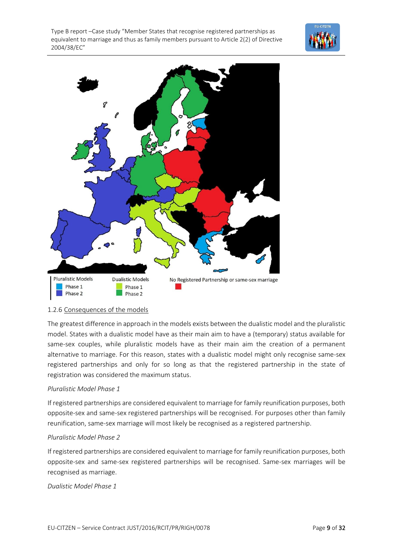



#### 1.2.6 Consequences of the models

The greatest difference in approach in the models exists between the dualistic model and the pluralistic model. States with a dualistic model have as their main aim to have a (temporary) status available for same-sex couples, while pluralistic models have as their main aim the creation of a permanent alternative to marriage. For this reason, states with a dualistic model might only recognise same-sex registered partnerships and only for so long as that the registered partnership in the state of registration was considered the maximum status.

#### *Pluralistic Model Phase 1*

If registered partnerships are considered equivalent to marriage for family reunification purposes, both opposite-sex and same-sex registered partnerships will be recognised. For purposes other than family reunification, same-sex marriage will most likely be recognised as a registered partnership.

#### *Pluralistic Model Phase 2*

If registered partnerships are considered equivalent to marriage for family reunification purposes, both opposite-sex and same-sex registered partnerships will be recognised. Same-sex marriages will be recognised as marriage.

*Dualistic Model Phase 1*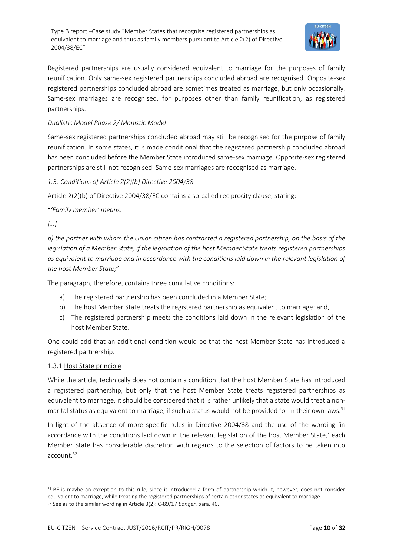

Registered partnerships are usually considered equivalent to marriage for the purposes of family reunification. Only same-sex registered partnerships concluded abroad are recognised. Opposite-sex registered partnerships concluded abroad are sometimes treated as marriage, but only occasionally. Same-sex marriages are recognised, for purposes other than family reunification, as registered partnerships.

#### *Dualistic Model Phase 2/ Monistic Model*

Same-sex registered partnerships concluded abroad may still be recognised for the purpose of family reunification. In some states, it is made conditional that the registered partnership concluded abroad has been concluded before the Member State introduced same-sex marriage. Opposite-sex registered partnerships are still not recognised. Same-sex marriages are recognised as marriage.

*1.3. Conditions of Article 2(2)(b) Directive 2004/38*

Article 2(2)(b) of Directive 2004/38/EC contains a so-called reciprocity clause, stating:

"*'Family member' means:*

#### *[…]*

*b) the partner with whom the Union citizen has contracted a registered partnership, on the basis of the legislation of a Member State, if the legislation of the host Member State treats registered partnerships as equivalent to marriage and in accordance with the conditions laid down in the relevant legislation of the host Member State;*"

The paragraph, therefore, contains three cumulative conditions:

- a) The registered partnership has been concluded in a Member State;
- b) The host Member State treats the registered partnership as equivalent to marriage; and,
- c) The registered partnership meets the conditions laid down in the relevant legislation of the host Member State.

One could add that an additional condition would be that the host Member State has introduced a registered partnership.

#### 1.3.1 Host State principle

While the article, technically does not contain a condition that the host Member State has introduced a registered partnership, but only that the host Member State treats registered partnerships as equivalent to marriage, it should be considered that it is rather unlikely that a state would treat a nonmarital status as equivalent to marriage, if such a status would not be provided for in their own laws.<sup>31</sup>

In light of the absence of more specific rules in Directive 2004/38 and the use of the wording 'in accordance with the conditions laid down in the relevant legislation of the host Member State,' each Member State has considerable discretion with regards to the selection of factors to be taken into account.<sup>32</sup>

<sup>&</sup>lt;sup>31</sup> BE is maybe an exception to this rule, since it introduced a form of partnership which it, however, does not consider equivalent to marriage, while treating the registered partnerships of certain other states as equivalent to marriage. <sup>32</sup> See as to the similar wording in Article 3(2): C-89/17 *Banger*, para. 40.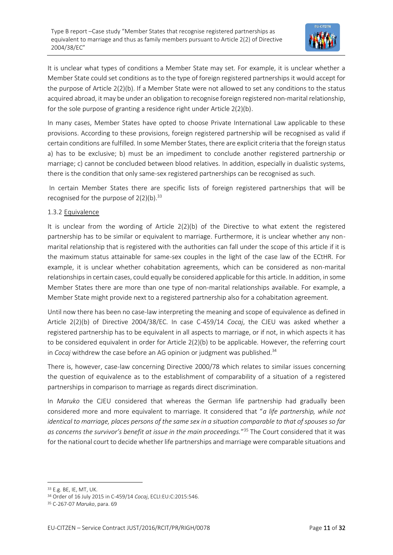

It is unclear what types of conditions a Member State may set. For example, it is unclear whether a Member State could set conditions as to the type of foreign registered partnerships it would accept for the purpose of Article 2(2)(b). If a Member State were not allowed to set any conditions to the status acquired abroad, it may be under an obligation to recognise foreign registered non-marital relationship, for the sole purpose of granting a residence right under Article 2(2)(b).

In many cases, Member States have opted to choose Private International Law applicable to these provisions. According to these provisions, foreign registered partnership will be recognised as valid if certain conditions are fulfilled. In some Member States, there are explicit criteria that the foreign status a) has to be exclusive; b) must be an impediment to conclude another registered partnership or marriage; c) cannot be concluded between blood relatives. In addition, especially in dualistic systems, there is the condition that only same-sex registered partnerships can be recognised as such.

In certain Member States there are specific lists of foreign registered partnerships that will be recognised for the purpose of  $2(2)(b).$ <sup>33</sup>

#### 1.3.2 Equivalence

It is unclear from the wording of Article 2(2)(b) of the Directive to what extent the registered partnership has to be similar or equivalent to marriage. Furthermore, it is unclear whether any nonmarital relationship that is registered with the authorities can fall under the scope of this article if it is the maximum status attainable for same-sex couples in the light of the case law of the ECtHR. For example, it is unclear whether cohabitation agreements, which can be considered as non-marital relationships in certain cases, could equally be considered applicable for this article. In addition, in some Member States there are more than one type of non-marital relationships available. For example, a Member State might provide next to a registered partnership also for a cohabitation agreement.

Until now there has been no case-law interpreting the meaning and scope of equivalence as defined in Article 2(2)(b) of Directive 2004/38/EC. In case C-459/14 *Cocaj*, the CJEU was asked whether a registered partnership has to be equivalent in all aspects to marriage, or if not, in which aspects it has to be considered equivalent in order for Article 2(2)(b) to be applicable. However, the referring court in *Cocaj* withdrew the case before an AG opinion or judgment was published.<sup>34</sup>

There is, however, case-law concerning Directive 2000/78 which relates to similar issues concerning the question of equivalence as to the establishment of comparability of a situation of a registered partnerships in comparison to marriage as regards direct discrimination.

In *Maruko* the CJEU considered that whereas the German life partnership had gradually been considered more and more equivalent to marriage. It considered that "*a life partnership, while not identical to marriage, places persons of the same sex in a situation comparable to that of spouses so far as concerns the survivor's benefit at issue in the main proceedings.*" <sup>35</sup> The Court considered that it was for the national court to decide whether life partnerships and marriage were comparable situations and

<sup>33</sup> E.g. BE, IE, MT, UK.

<sup>34</sup> Order of 16 July 2015 in C-459/14 *Cocaj*, ECLI:EU:C:2015:546.

<sup>35</sup> C-267-07 *Maruko*, para. 69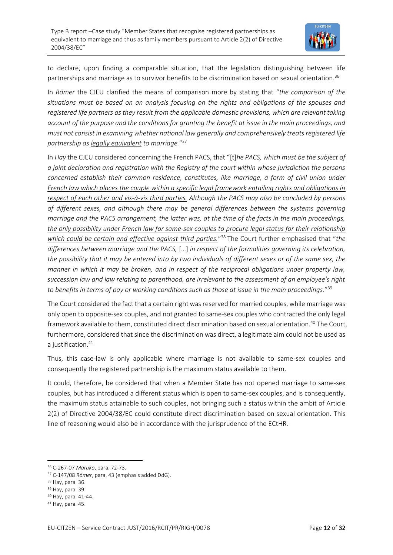

to declare, upon finding a comparable situation, that the legislation distinguishing between life partnerships and marriage as to survivor benefits to be discrimination based on sexual orientation.<sup>36</sup>

In *Römer* the CJEU clarified the means of comparison more by stating that "*the comparison of the situations must be based on an analysis focusing on the rights and obligations of the spouses and registered life partners as they result from the applicable domestic provisions, which are relevant taking account of the purpose and the conditions for granting the benefit at issue in the main proceedings, and must not consist in examining whether national law generally and comprehensively treats registered life partnership as legally equivalent to marriage.*" 37

In *Hay* the CJEU considered concerning the French PACS, that "[t]*he PACS, which must be the subject of a joint declaration and registration with the Registry of the court within whose jurisdiction the persons concerned establish their common residence, constitutes, like marriage, a form of civil union under French law which places the couple within a specific legal framework entailing rights and obligations in respect of each other and vis-à-vis third parties. Although the PACS may also be concluded by persons of different sexes, and although there may be general differences between the systems governing marriage and the PACS arrangement, the latter was, at the time of the facts in the main proceedings, the only possibility under French law for same-sex couples to procure legal status for their relationship which could be certain and effective against third parties.*" <sup>38</sup> The Court further emphasised that "*the differences between marriage and the PACS,* […] *in respect of the formalities governing its celebration, the possibility that it may be entered into by two individuals of different sexes or of the same sex, the manner in which it may be broken, and in respect of the reciprocal obligations under property law, succession law and law relating to parenthood, are irrelevant to the assessment of an employee's right to benefits in terms of pay or working conditions such as those at issue in the main proceedings.*" 39

The Court considered the fact that a certain right was reserved for married couples, while marriage was only open to opposite-sex couples, and not granted to same-sex couples who contracted the only legal framework available to them, constituted direct discrimination based on sexual orientation.<sup>40</sup> The Court, furthermore, considered that since the discrimination was direct, a legitimate aim could not be used as a justification.<sup>41</sup>

Thus, this case-law is only applicable where marriage is not available to same-sex couples and consequently the registered partnership is the maximum status available to them.

It could, therefore, be considered that when a Member State has not opened marriage to same-sex couples, but has introduced a different status which is open to same-sex couples, and is consequently, the maximum status attainable to such couples, not bringing such a status within the ambit of Article 2(2) of Directive 2004/38/EC could constitute direct discrimination based on sexual orientation. This line of reasoning would also be in accordance with the jurisprudence of the ECtHR.

<sup>36</sup> C-267-07 *Maruko*, para. 72-73.

<sup>37</sup> C-147/08 *Römer*, para. 43 (emphasis added DdG).

<sup>38</sup> Hay, para. 36.

<sup>39</sup> Hay, para. 39.

<sup>40</sup> Hay, para. 41-44.

<sup>41</sup> Hay, para. 45.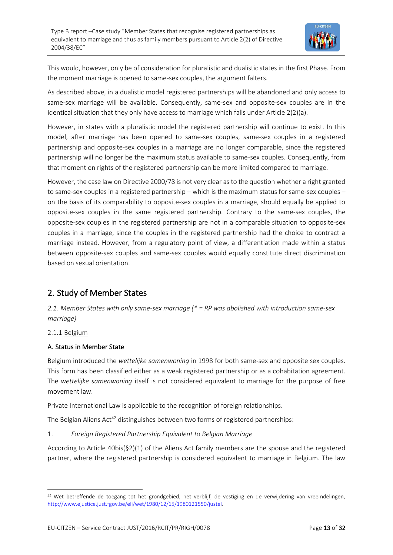

This would, however, only be of consideration for pluralistic and dualistic states in the first Phase. From the moment marriage is opened to same-sex couples, the argument falters.

As described above, in a dualistic model registered partnerships will be abandoned and only access to same-sex marriage will be available. Consequently, same-sex and opposite-sex couples are in the identical situation that they only have access to marriage which falls under Article 2(2)(a).

However, in states with a pluralistic model the registered partnership will continue to exist. In this model, after marriage has been opened to same-sex couples, same-sex couples in a registered partnership and opposite-sex couples in a marriage are no longer comparable, since the registered partnership will no longer be the maximum status available to same-sex couples. Consequently, from that moment on rights of the registered partnership can be more limited compared to marriage.

However, the case law on Directive 2000/78 is not very clear as to the question whether a right granted to same-sex couples in a registered partnership – which is the maximum status for same-sex couples – on the basis of its comparability to opposite-sex couples in a marriage, should equally be applied to opposite-sex couples in the same registered partnership. Contrary to the same-sex couples, the opposite-sex couples in the registered partnership are not in a comparable situation to opposite-sex couples in a marriage, since the couples in the registered partnership had the choice to contract a marriage instead. However, from a regulatory point of view, a differentiation made within a status between opposite-sex couples and same-sex couples would equally constitute direct discrimination based on sexual orientation.

### 2. Study of Member States

*2.1. Member States with only same-sex marriage (\* = RP was abolished with introduction same-sex marriage)*

#### 2.1.1 Belgium

#### A. Status in Member State

Belgium introduced the *wettelijke samenwoning* in 1998 for both same-sex and opposite sex couples. This form has been classified either as a weak registered partnership or as a cohabitation agreement. The *wettelijke samenwoning* itself is not considered equivalent to marriage for the purpose of free movement law.

Private International Law is applicable to the recognition of foreign relationships.

The Belgian Aliens  $Act^{42}$  distinguishes between two forms of registered partnerships:

#### 1. *Foreign Registered Partnership Equivalent to Belgian Marriage*

According to Article 40bis(§2)(1) of the Aliens Act family members are the spouse and the registered partner, where the registered partnership is considered equivalent to marriage in Belgium. The law

<sup>42</sup> Wet betreffende de toegang tot het grondgebied, het verblijf, de vestiging en de verwijdering van vreemdelingen, [http://www.ejustice.just.fgov.be/eli/wet/1980/12/15/1980121550/justel.](http://www.ejustice.just.fgov.be/eli/wet/1980/12/15/1980121550/justel)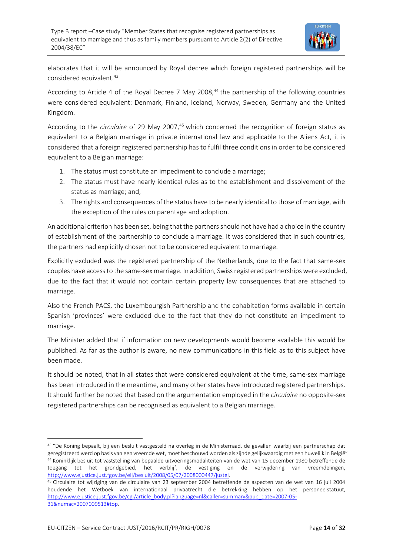

elaborates that it will be announced by Royal decree which foreign registered partnerships will be considered equivalent.<sup>43</sup>

According to Article 4 of the Royal Decree 7 May 2008,<sup>44</sup> the partnership of the following countries were considered equivalent: Denmark, Finland, Iceland, Norway, Sweden, Germany and the United Kingdom.

According to the *circulaire* of 29 May 2007,<sup>45</sup> which concerned the recognition of foreign status as equivalent to a Belgian marriage in private international law and applicable to the Aliens Act, it is considered that a foreign registered partnership has to fulfil three conditions in order to be considered equivalent to a Belgian marriage:

- 1. The status must constitute an impediment to conclude a marriage;
- 2. The status must have nearly identical rules as to the establishment and dissolvement of the status as marriage; and,
- 3. The rights and consequences of the status have to be nearly identical to those of marriage, with the exception of the rules on parentage and adoption.

An additional criterion has been set, being that the partners should not have had a choice in the country of establishment of the partnership to conclude a marriage. It was considered that in such countries, the partners had explicitly chosen not to be considered equivalent to marriage.

Explicitly excluded was the registered partnership of the Netherlands, due to the fact that same-sex couples have access to the same-sex marriage. In addition, Swiss registered partnerships were excluded, due to the fact that it would not contain certain property law consequences that are attached to marriage.

Also the French PACS, the Luxembourgish Partnership and the cohabitation forms available in certain Spanish 'provinces' were excluded due to the fact that they do not constitute an impediment to marriage.

The Minister added that if information on new developments would become available this would be published. As far as the author is aware, no new communications in this field as to this subject have been made.

It should be noted, that in all states that were considered equivalent at the time, same-sex marriage has been introduced in the meantime, and many other states have introduced registered partnerships. It should further be noted that based on the argumentation employed in the *circulaire* no opposite-sex registered partnerships can be recognised as equivalent to a Belgian marriage.

<sup>&</sup>lt;sup>43</sup> "De Koning bepaalt, bij een besluit vastgesteld na overleg in de Ministerraad, de gevallen waarbij een partnerschap dat geregistreerd werd op basis van een vreemde wet, moet beschouwd worden als zijnde gelijkwaardig met een huwelijk in België" <sup>44</sup> Koninklijk besluit tot vaststelling van bepaalde uitvoeringsmodaliteiten van de wet van 15 december 1980 betreffende de toegang tot het grondgebied, het verblijf, de vestiging en de verwijdering van vreemdelingen, [http://www.ejustice.just.fgov.be/eli/besluit/2008/05/07/2008000447/justel.](http://www.ejustice.just.fgov.be/eli/besluit/2008/05/07/2008000447/justel)

<sup>45</sup> Circulaire tot wijziging van de circulaire van 23 september 2004 betreffende de aspecten van de wet van 16 juli 2004 houdende het Wetboek van internationaal privaatrecht die betrekking hebben op het personeelstatuut, [http://www.ejustice.just.fgov.be/cgi/article\\_body.pl?language=nl&caller=summary&pub\\_date=2007-05-](http://www.ejustice.just.fgov.be/cgi/article_body.pl?language=nl&caller=summary&pub_date=2007-05-31&numac=2007009513#top) [31&numac=2007009513#top.](http://www.ejustice.just.fgov.be/cgi/article_body.pl?language=nl&caller=summary&pub_date=2007-05-31&numac=2007009513#top)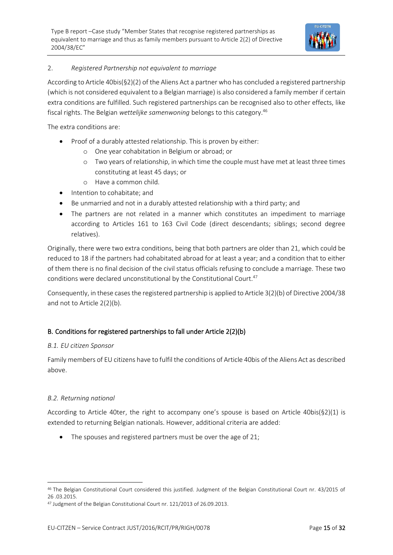

#### 2. *Registered Partnership not equivalent to marriage*

According to Article 40bis(§2)(2) of the Aliens Act a partner who has concluded a registered partnership (which is not considered equivalent to a Belgian marriage) is also considered a family member if certain extra conditions are fulfilled. Such registered partnerships can be recognised also to other effects, like fiscal rights. The Belgian *wettelijke samenwoning* belongs to this category.<sup>46</sup>

The extra conditions are:

- Proof of a durably attested relationship. This is proven by either:
	- o One year cohabitation in Belgium or abroad; or
	- o Two years of relationship, in which time the couple must have met at least three times constituting at least 45 days; or
	- o Have a common child.
- Intention to cohabitate; and
- Be unmarried and not in a durably attested relationship with a third party; and
- The partners are not related in a manner which constitutes an impediment to marriage according to Articles 161 to 163 Civil Code (direct descendants; siblings; second degree relatives).

Originally, there were two extra conditions, being that both partners are older than 21, which could be reduced to 18 if the partners had cohabitated abroad for at least a year; and a condition that to either of them there is no final decision of the civil status officials refusing to conclude a marriage. These two conditions were declared unconstitutional by the Constitutional Court.<sup>47</sup>

Consequently, in these cases the registered partnership is applied to Article 3(2)(b) of Directive 2004/38 and not to Article 2(2)(b).

#### B. Conditions for registered partnerships to fall under Article 2(2)(b)

#### *B.1. EU citizen Sponsor*

Family members of EU citizens have to fulfil the conditions of Article 40bis of the Aliens Act as described above.

#### *B.2. Returning national*

According to Article 40ter, the right to accompany one's spouse is based on Article 40bis( $\S 2(1)$  is extended to returning Belgian nationals. However, additional criteria are added:

• The spouses and registered partners must be over the age of 21;

<sup>46</sup> The Belgian Constitutional Court considered this justified. Judgment of the Belgian Constitutional Court nr. 43/2015 of 26 .03.2015.

<sup>47</sup> Judgment of the Belgian Constitutional Court nr. 121/2013 of 26.09.2013.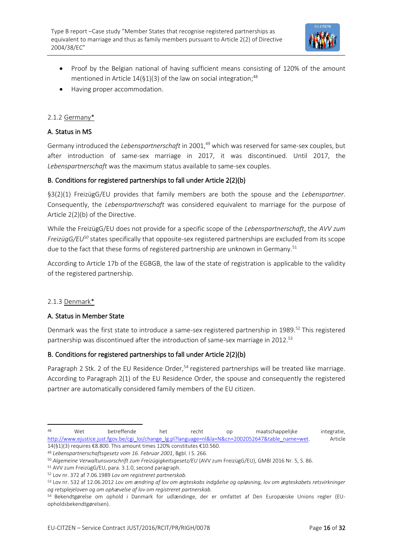

- Proof by the Belgian national of having sufficient means consisting of 120% of the amount mentioned in Article  $14(§1)(3)$  of the law on social integration;<sup>48</sup>
- Having proper accommodation.

#### 2.1.2 Germany\*

#### A. Status in MS

Germany introduced the *Lebenspartnerschaft* in 2001,<sup>49</sup> which was reserved for same-sex couples, but after introduction of same-sex marriage in 2017, it was discontinued. Until 2017, the *Lebenspartnerschaft* was the maximum status available to same-sex couples.

#### B. Conditions for registered partnerships to fall under Article 2(2)(b)

§3(2)(1) FreizügG/EU provides that family members are both the spouse and the *Lebenspartner*. Consequently, the *Lebenspartnerschaft* was considered equivalent to marriage for the purpose of Article 2(2)(b) of the Directive.

While the FreizügG/EU does not provide for a specific scope of the *Lebenspartnerschaft*, the *AVV zum FreizügG/EU<sup>50</sup>* states specifically that opposite-sex registered partnerships are excluded from its scope due to the fact that these forms of registered partnership are unknown in Germany.<sup>51</sup>

According to Article 17b of the EGBGB, the law of the state of registration is applicable to the validity of the registered partnership.

#### 2.1.3 Denmark\*

#### A. Status in Member State

Denmark was the first state to introduce a same-sex registered partnership in 1989.<sup>52</sup> This registered partnership was discontinued after the introduction of same-sex marriage in 2012.<sup>53</sup>

#### B. Conditions for registered partnerships to fall under Article 2(2)(b)

Paragraph 2 Stk. 2 of the EU Residence Order,<sup>54</sup> registered partnerships will be treated like marriage. According to Paragraph 2(1) of the EU Residence Order, the spouse and consequently the registered partner are automatically considered family members of the EU citizen.

<sup>48</sup> Wet betreffende het recht op maatschappelijke integratie, [http://www.ejustice.just.fgov.be/cgi\\_loi/change\\_lg.pl?language=nl&la=N&cn=2002052647&table\\_name=wet.](http://www.ejustice.just.fgov.be/cgi_loi/change_lg.pl?language=nl&la=N&cn=2002052647&table_name=wet) Article 14(§1)(3) requires €8.800. This amount times 120% constitutes €10.560.

<sup>49</sup> *Lebenspartnerschaftsgesetz vom 16. Februar 2001*, Bgbl. I S. 266.

<sup>50</sup> *Algemeine Verwaltunsvorschrift zum Freizügigkeitsgesetz/EU* (AVV zum FreizügG/EU), GMBl 2016 Nr. 5, S. 86.

<sup>51</sup> AVV zum FreizügG/EU, para. 3.1.0, second paragraph.

<sup>52</sup> Lov nr. 372 af 7.06.1989 *Lov om registreret partnerskab.*

<sup>53</sup> Lov nr. 532 af 12.06.2012 *Lov om ændring af lov om ægteskabs indgåelse og opløsning, lov om ægteskabets retsvirkninger og retsplejeloven og om ophævelse af lov om registreret partnerskab.*

<sup>54</sup> Bekendtgørelse om ophold i Danmark for udlændinge, der er omfattet af Den Europæiske Unions regler (EUopholdsbekendtgørelsen).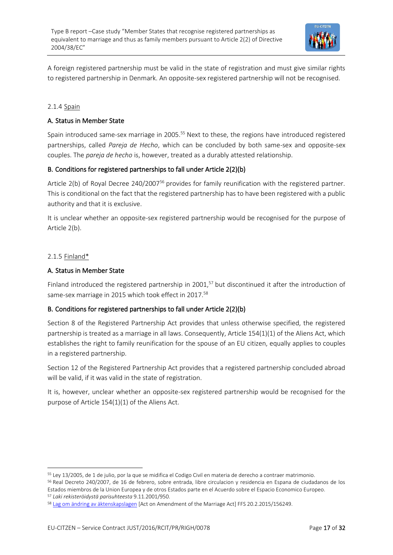

A foreign registered partnership must be valid in the state of registration and must give similar rights to registered partnership in Denmark. An opposite-sex registered partnership will not be recognised.

#### 2.1.4 Spain

#### A. Status in Member State

Spain introduced same-sex marriage in 2005.<sup>55</sup> Next to these, the regions have introduced registered partnerships, called *Pareja de Hecho*, which can be concluded by both same-sex and opposite-sex couples. The *pareja de hecho* is, however, treated as a durably attested relationship.

#### B. Conditions for registered partnerships to fall under Article 2(2)(b)

Article 2(b) of Royal Decree 240/2007<sup>56</sup> provides for family reunification with the registered partner. This is conditional on the fact that the registered partnership has to have been registered with a public authority and that it is exclusive.

It is unclear whether an opposite-sex registered partnership would be recognised for the purpose of Article 2(b).

#### 2.1.5 Finland\*

#### A. Status in Member State

Finland introduced the registered partnership in 2001,<sup>57</sup> but discontinued it after the introduction of same-sex marriage in 2015 which took effect in 2017.<sup>58</sup>

#### B. Conditions for registered partnerships to fall under Article 2(2)(b)

Section 8 of the Registered Partnership Act provides that unless otherwise specified, the registered partnership is treated as a marriage in all laws. Consequently, Article 154(1)(1) of the Aliens Act, which establishes the right to family reunification for the spouse of an EU citizen, equally applies to couples in a registered partnership.

Section 12 of the Registered Partnership Act provides that a registered partnership concluded abroad will be valid, if it was valid in the state of registration.

It is, however, unclear whether an opposite-sex registered partnership would be recognised for the purpose of Article 154(1)(1) of the Aliens Act.

<sup>55</sup> Ley 13/2005, de 1 de julio, por la que se midifica el Codigo Civil en materia de derecho a contraer matrimonio.

<sup>56</sup> Real Decreto 240/2007, de 16 de febrero, sobre entrada, libre circulacion y residencia en Espana de ciudadanos de los Estados miembros de la Union Europea y de otros Estados parte en el Acuerdo sobre el Espacio Economico Europeo. <sup>57</sup> *Laki rekisteröidystä parisuhteesta* 9.11.2001/950.

<sup>58</sup> [Lag om ändring av äktenskapslagen](http://www.finlex.fi/sv/laki/alkup/2015/20150156) [Act on Amendment of the Marriage Act] FFS 20.2.2015/156249.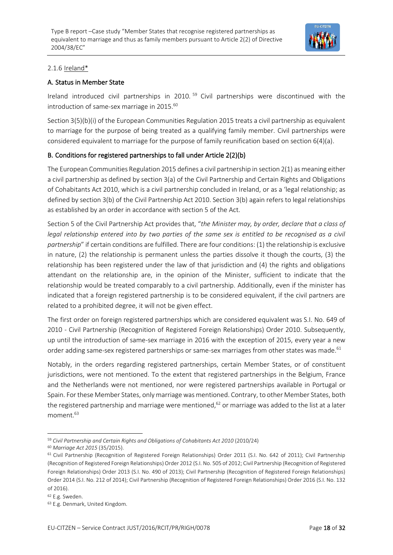

#### 2.1.6 Ireland\*

#### A. Status in Member State

Ireland introduced civil partnerships in 2010. <sup>59</sup> Civil partnerships were discontinued with the introduction of same-sex marriage in 2015.<sup>60</sup>

Section 3(5)(b)(i) of the European Communities Regulation 2015 treats a civil partnership as equivalent to marriage for the purpose of being treated as a qualifying family member. Civil partnerships were considered equivalent to marriage for the purpose of family reunification based on section 6(4)(a).

#### B. Conditions for registered partnerships to fall under Article 2(2)(b)

The European Communities Regulation 2015 defines a civil partnership in section 2(1) as meaning either a civil partnership as defined by section 3(a) of the Civil Partnership and Certain Rights and Obligations of Cohabitants Act 2010, which is a civil partnership concluded in Ireland, or as a 'legal relationship; as defined by section 3(b) of the Civil Partnership Act 2010. Section 3(b) again refers to legal relationships as established by an order in accordance with section 5 of the Act.

Section 5 of the Civil Partnership Act provides that, "*the Minister may, by order, declare that a class of legal relationship entered into by two parties of the same sex is entitled to be recognised as a civil partnership*" if certain conditions are fulfilled. There are four conditions: (1) the relationship is exclusive in nature, (2) the relationship is permanent unless the parties dissolve it though the courts, (3) the relationship has been registered under the law of that jurisdiction and (4) the rights and obligations attendant on the relationship are, in the opinion of the Minister, sufficient to indicate that the relationship would be treated comparably to a civil partnership. Additionally, even if the minister has indicated that a foreign registered partnership is to be considered equivalent, if the civil partners are related to a prohibited degree, it will not be given effect.

The first order on foreign registered partnerships which are considered equivalent was S.I. No. 649 of 2010 - Civil Partnership (Recognition of Registered Foreign Relationships) Order 2010. Subsequently, up until the introduction of same-sex marriage in 2016 with the exception of 2015, every year a new order adding same-sex registered partnerships or same-sex marriages from other states was made.<sup>61</sup>

Notably, in the orders regarding registered partnerships, certain Member States, or of constituent jurisdictions, were not mentioned. To the extent that registered partnerships in the Belgium, France and the Netherlands were not mentioned, nor were registered partnerships available in Portugal or Spain. For these Member States, only marriage was mentioned. Contrary, to other Member States, both the registered partnership and marriage were mentioned, <sup>62</sup> or marriage was added to the list at a later moment.<sup>63</sup>

<sup>59</sup> *Civil Partnership and Certain Rights and Obligations of Cohabitants Act 2010* (2010/24)

<sup>60</sup> *Marriage Act 2015* (35/2015).

<sup>&</sup>lt;sup>61</sup> Civil Partnership (Recognition of Registered Foreign Relationships) Order 2011 (S.I. No. 642 of 2011); Civil Partnership (Recognition of Registered Foreign Relationships) Order 2012 (S.I. No. 505 of 2012; Civil Partnership (Recognition of Registered Foreign Relationships) Order 2013 (S.I. No. 490 of 2013); Civil Partnership (Recognition of Registered Foreign Relationships) Order 2014 (S.I. No. 212 of 2014); Civil Partnership (Recognition of Registered Foreign Relationships) Order 2016 (S.I. No. 132 of 2016).

<sup>62</sup> E.g. Sweden.

<sup>63</sup> E.g. Denmark, United Kingdom.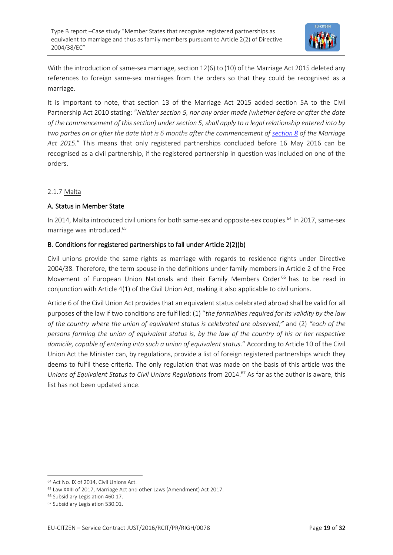

With the introduction of same-sex marriage, section 12(6) to (10) of the Marriage Act 2015 deleted any references to foreign same-sex marriages from the orders so that they could be recognised as a marriage.

It is important to note, that section 13 of the Marriage Act 2015 added section 5A to the Civil Partnership Act 2010 stating: "*Neither section 5, nor any order made (whether before or after the date of the commencement of this section) under section 5, shall apply to a legal relationship entered into by two parties on or after the date that is 6 months after the commencement of [section 8](http://www.irishstatutebook.ie/2015/en/act/pub/0035/sec0008.html#sec8) of the Marriage Act 2015.*" This means that only registered partnerships concluded before 16 May 2016 can be recognised as a civil partnership, if the registered partnership in question was included on one of the orders.

#### 2.1.7 Malta

#### A. Status in Member State

In 2014, Malta introduced civil unions for both same-sex and opposite-sex couples.<sup>64</sup> In 2017, same-sex marriage was introduced.<sup>65</sup>

#### B. Conditions for registered partnerships to fall under Article 2(2)(b)

Civil unions provide the same rights as marriage with regards to residence rights under Directive 2004/38. Therefore, the term spouse in the definitions under family members in Article 2 of the Free Movement of European Union Nationals and their Family Members Order<sup>66</sup> has to be read in conjunction with Article 4(1) of the Civil Union Act, making it also applicable to civil unions.

Article 6 of the Civil Union Act provides that an equivalent status celebrated abroad shall be valid for all purposes of the law if two conditions are fulfilled: (1) "*the formalities required for its validity by the law of the country where the union of equivalent status is celebrated are observed;"* and (2) *"each of the persons forming the union of equivalent status is, by the law of the country of his or her respective domicile, capable of entering into such a union of equivalent status*." According to Article 10 of the Civil Union Act the Minister can, by regulations, provide a list of foreign registered partnerships which they deems to fulfil these criteria. The only regulation that was made on the basis of this article was the *Unions of Equivalent Status to Civil Unions Regulations* from 2014.<sup>67</sup> As far as the author is aware, this list has not been updated since.

<sup>64</sup> Act No. IX of 2014, Civil Unions Act.

<sup>65</sup> Law XXIII of 2017, Marriage Act and other Laws (Amendment) Act 2017.

<sup>66</sup> Subsidiary Legislation 460.17.

<sup>67</sup> Subsidiary Legislation 530.01.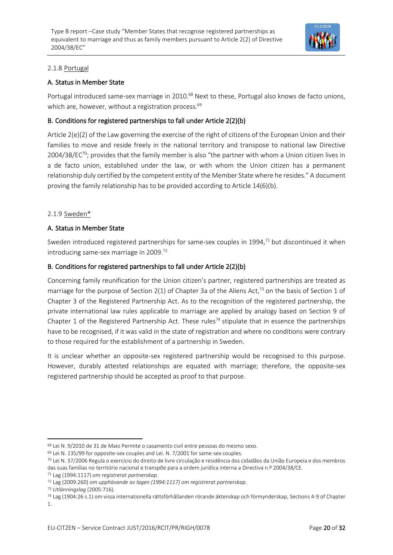

#### 2.1.8 Portugal

#### A. Status in Member State

Portugal introduced same-sex marriage in 2010.<sup>68</sup> Next to these, Portugal also knows de facto unions, which are, however, without a registration process.<sup>69</sup>

#### B. Conditions for registered partnerships to fall under Article 2(2)(b)

Article 2(e)(2) of the Law governing the exercise of the right of citizens of the European Union and their families to move and reside freely in the national territory and transpose to national law Directive 2004/38/EC<sup>70</sup>; provides that the family member is also "the partner with whom a Union citizen lives in a de facto union, established under the law, or with whom the Union citizen has a permanent relationship duly certified by the competent entity of the Member State where he resides." A document proving the family relationship has to be provided according to Article 14(6)(b).

#### 2.1.9 Sweden\*

#### A. Status in Member State

Sweden introduced registered partnerships for same-sex couples in 1994, $<sup>71</sup>$  but discontinued it when</sup> introducing same-sex marriage in 2009.<sup>72</sup>

#### B. Conditions for registered partnerships to fall under Article 2(2)(b)

Concerning family reunification for the Union citizen's partner, registered partnerships are treated as marriage for the purpose of Section 2(1) of Chapter 3a of the Aliens Act,<sup>73</sup> on the basis of Section 1 of Chapter 3 of the Registered Partnership Act. As to the recognition of the registered partnership, the private international law rules applicable to marriage are applied by analogy based on Section 9 of Chapter 1 of the Registered Partnership Act. These rules<sup>74</sup> stipulate that in essence the partnerships have to be recognised, if it was valid in the state of registration and where no conditions were contrary to those required for the establishment of a partnership in Sweden.

It is unclear whether an opposite-sex registered partnership would be recognised to this purpose. However, durably attested relationships are equated with marriage; therefore, the opposite-sex registered partnership should be accepted as proof to that purpose.

<sup>73</sup> *Utlänningslag* (2005:716).

<sup>68</sup> Lei N. 9/2010 de 31 de Maio Permite o casamento civil entre pessoas do mesmo sexo.

<sup>69</sup> Lei N. 135/99 for opposite-sex couples and Lei. N. 7/2001 for same-sex couples.

<sup>70</sup> Lei N. 37/2006 Regula o exercício do direito de livre circulação e residência dos cidadãos da União Europeia e dos membros das suas famílias no território nacional e transpõe para a ordem jurídica interna a Directiva n.º 2004/38/CE.

<sup>71</sup> Lag (1994:1117) *om registrerat partnerskap.*

<sup>72</sup> Lag (2009:260) *om upphävande av lagen (1994:1117) om registrerat partnerskap.*

<sup>74</sup> Lag (1904:26 s.1) om vissa internationella rättsförhållanden rörande äktenskap och förmynderskap, Sections 4-9 of Chapter 1.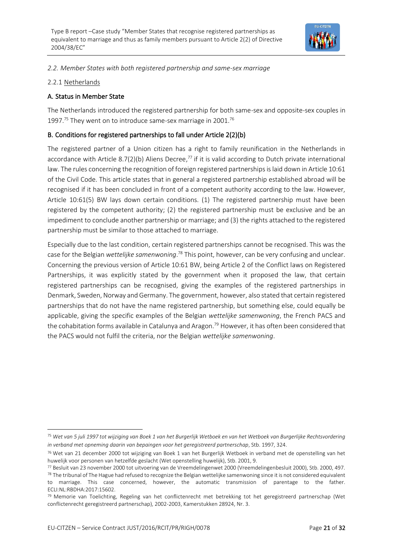

*2.2. Member States with both registered partnership and same-sex marriage*

#### 2.2.1 Netherlands

#### A. Status in Member State

The Netherlands introduced the registered partnership for both same-sex and opposite-sex couples in 1997.<sup>75</sup> They went on to introduce same-sex marriage in 2001.<sup>76</sup>

#### B. Conditions for registered partnerships to fall under Article 2(2)(b)

The registered partner of a Union citizen has a right to family reunification in the Netherlands in accordance with Article 8.7(2)(b) Aliens Decree,<sup>77</sup> if it is valid according to Dutch private international law. The rules concerning the recognition of foreign registered partnerships is laid down in Article 10:61 of the Civil Code. This article states that in general a registered partnership established abroad will be recognised if it has been concluded in front of a competent authority according to the law. However, Article 10:61(5) BW lays down certain conditions. (1) The registered partnership must have been registered by the competent authority; (2) the registered partnership must be exclusive and be an impediment to conclude another partnership or marriage; and (3) the rights attached to the registered partnership must be similar to those attached to marriage.

Especially due to the last condition, certain registered partnerships cannot be recognised. This was the case for the Belgian *wettelijke samenwoning*. <sup>78</sup> This point, however, can be very confusing and unclear. Concerning the previous version of Article 10:61 BW, being Article 2 of the Conflict laws on Registered Partnerships, it was explicitly stated by the government when it proposed the law, that certain registered partnerships can be recognised, giving the examples of the registered partnerships in Denmark, Sweden, Norway and Germany. The government, however, also stated that certain registered partnerships that do not have the name registered partnership, but something else, could equally be applicable, giving the specific examples of the Belgian *wettelijke samenwoning*, the French PACS and the cohabitation forms available in Catalunya and Aragon.<sup>79</sup> However, it has often been considered that the PACS would not fulfil the criteria, nor the Belgian *wettelijke samenwoning*.

<sup>75</sup> *Wet van 5 juli 1997 tot wijziging van Boek 1 van het Burgerlijk Wetboek en van het Wetboek van Burgerlijke Rechtsvordering in verband met opneming daarin van bepaingen voor het geregistreerd partnerschap*, Stb. 1997, 324.

<sup>76</sup> Wet van 21 december 2000 tot wijziging van Boek 1 van het Burgerlijk Wetboek in verband met de openstelling van het huwelijk voor personen van hetzelfde geslacht (Wet openstelling huwelijk), Stb. 2001, 9.

<sup>77</sup> Besluit van 23 november 2000 tot uitvoering van de Vreemdelingenwet 2000 (Vreemdelingenbesluit 2000), Stb. 2000, 497.

<sup>&</sup>lt;sup>78</sup> The tribunal of The Hague had refused to recognize the Belgian wettelijke samenwoning since it is not considered equivalent to marriage. This case concerned, however, the automatic transmission of parentage to the father. ECLI:NL:RBDHA:2017:15602.

<sup>79</sup> Memorie van Toelichting, Regeling van het conflictenrecht met betrekking tot het geregistreerd partnerschap (Wet conflictenrecht geregistreerd partnerschap), 2002-2003, Kamerstukken 28924, Nr. 3.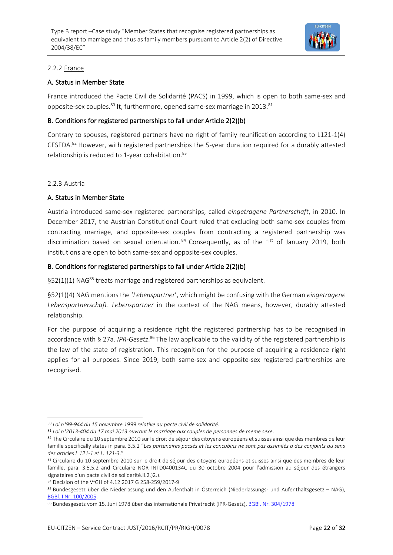

#### 2.2.2 France

#### A. Status in Member State

France introduced the Pacte Civil de Solidarité (PACS) in 1999, which is open to both same-sex and opposite-sex couples.<sup>80</sup> It, furthermore, opened same-sex marriage in 2013.<sup>81</sup>

#### B. Conditions for registered partnerships to fall under Article 2(2)(b)

Contrary to spouses, registered partners have no right of family reunification according to L121-1(4) CESEDA.<sup>82</sup> However, with registered partnerships the 5-year duration required for a durably attested relationship is reduced to 1-year cohabitation.<sup>83</sup>

#### 2.2.3 Austria

#### A. Status in Member State

Austria introduced same-sex registered partnerships, called *eingetragene Partnerschaft*, in 2010. In December 2017, the Austrian Constitutional Court ruled that excluding both same-sex couples from contracting marriage, and opposite-sex couples from contracting a registered partnership was discrimination based on sexual orientation.  $84$  Consequently, as of the 1st of January 2019, both institutions are open to both same-sex and opposite-sex couples.

#### B. Conditions for registered partnerships to fall under Article 2(2)(b)

§52(1)(1) NAG<sup>85</sup> treats marriage and registered partnerships as equivalent.

§52(1)(4) NAG mentions the '*Lebenspartner*', which might be confusing with the German *eingetragene Lebenspartnerschaft*. *Lebenspartner* in the context of the NAG means, however, durably attested relationship.

For the purpose of acquiring a residence right the registered partnership has to be recognised in accordance with § 27a. *IPR-Gesetz*.<sup>86</sup> The law applicable to the validity of the registered partnership is the law of the state of registration. This recognition for the purpose of acquiring a residence right applies for all purposes. Since 2019, both same-sex and opposite-sex registered partnerships are recognised.

<sup>80</sup> *Loi n°99-944 du 15 novembre 1999 relative au pacte civil de solidarité.*

<sup>81</sup> *Loi n°2013-404 du 17 mai 2013 ouvrant le marriage aux couples de personnes de meme sexe*.

<sup>82</sup> The Circulaire du 10 septembre 2010 sur le droit de séjour des citoyens européens et suisses ainsi que des membres de leur famille specifically states in para. 3.5.2 "*Les partenaires pacsés et les concubins ne sont pas assimilés a des conjoints au sens des articles L 121-1 et L. 121-3.*"

<sup>&</sup>lt;sup>83</sup> Circulaire du 10 septembre 2010 sur le droit de séjour des citoyens européens et suisses ainsi que des membres de leur famille, para. 3.5.5.2 and Circulaire NOR INTD0400134C du 30 octobre 2004 pour l'admission au séjour des étrangers signataires d'un pacte civil de solidarité.II.2.)2.).

<sup>84</sup> Decision of the VfGH of 4.12.2017 G 258-259/2017-9

<sup>85</sup> Bundesgesetz über die Niederlassung und den Aufenthalt in Österreich (Niederlassungs- und Aufenthaltsgesetz – NAG), [BGBl. I Nr. 100/2005.](https://www.ris.bka.gv.at/eli/bgbl/I/2005/100)

<sup>86</sup> Bundesgesetz vom 15. Juni 1978 über das internationale Privatrecht (IPR-Gesetz)[, BGBl. Nr. 304/1978](https://www.ris.bka.gv.at/Dokumente/BgblPdf/1978_304_0/1978_304_0.pdf)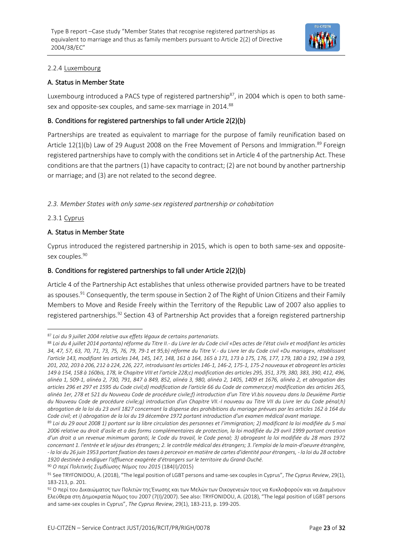

#### 2.2.4 Luxembourg

#### A. Status in Member State

Luxembourg introduced a PACS type of registered partnership<sup>87</sup>, in 2004 which is open to both samesex and opposite-sex couples, and same-sex marriage in 2014.<sup>88</sup>

#### B. Conditions for registered partnerships to fall under Article 2(2)(b)

Partnerships are treated as equivalent to marriage for the purpose of family reunification based on Article  $12(1)(b)$  Law of 29 August 2008 on the Free Movement of Persons and Immigration.<sup>89</sup> Foreign registered partnerships have to comply with the conditions set in Article 4 of the partnership Act. These conditions are that the partners (1) have capacity to contract; (2) are not bound by another partnership or marriage; and (3) are not related to the second degree.

*2.3. Member States with only same-sex registered partnership or cohabitation*

#### 2.3.1 Cyprus

#### A. Status in Member State

Cyprus introduced the registered partnership in 2015, which is open to both same-sex and oppositesex couples.<sup>90</sup>

#### B. Conditions for registered partnerships to fall under Article 2(2)(b)

Article 4 of the Partnership Act establishes that unless otherwise provided partners have to be treated as spouses.<sup>91</sup> Consequently, the term spouse in Section 2 of The Right of Union Citizens and their Family Members to Move and Reside Freely within the Territory of the Republic Law of 2007 also applies to registered partnerships.<sup>92</sup> Section 43 of Partnership Act provides that a foreign registered partnership

<sup>87</sup> *Loi du 9 juillet 2004 relative aux effets légaux de certains partenariats*.

<sup>88</sup> *Loi du 4 juillet 2014 portanta) réforme du Titre II.- du Livre Ier du Code civil «Des actes de l'état civil» et modifiant les articles 34, 47, 57, 63, 70, 71, 73, 75, 76, 79, 79-1 et 95;b) réforme du Titre V.- du Livre Ier du Code civil «Du mariage», rétablissant l'article 143, modifiant les articles 144, 145, 147, 148, 161 à 164, 165 à 171, 173 à 175, 176, 177, 179, 180 à 192, 194 à 199, 201, 202, 203 à 206, 212 à 224, 226, 227, introduisant les articles 146-1, 146-2, 175-1, 175-2 nouveaux et abrogeant les articles 149 à 154, 158 à 160bis, 178, le Chapitre VIII et l'article 228;c) modification des articles 295, 351, 379, 380, 383, 390, 412, 496, alinéa 1, 509-1, alinéa 2, 730, 791, 847 à 849, 852, alinéa 3, 980, alinéa 2, 1405, 1409 et 1676, alinéa 2, et abrogation des articles 296 et 297 et 1595 du Code civil;d) modification de l'article 66 du Code de commerce;e) modification des articles 265, alinéa 1er, 278 et 521 du Nouveau Code de procédure civile;f) introduction d'un Titre VI.bis nouveau dans la Deuxième Partie du Nouveau Code de procédure civile;g) introduction d'un Chapitre VII.-I nouveau au Titre VII du Livre Ier du Code pénal;h) abrogation de la loi du 23 avril 1827 concernant la dispense des prohibitions du mariage prévues par les articles 162 à 164 du Code civil; et i) abrogation de la loi du 19 décembre 1972 portant introduction d'un examen médical avant mariage.*

<sup>89</sup> *Loi du 29 aout 2008 1) portant sur la libre circulation des personnes et l'immigration; 2) modificant la loi modifiée du 5 mai 2006 relative au droit d'asile et a des forms complémentaires de protection, la loi modifiée du 29 avril 1999 portant creation d'un droit a un revenue minimum garanti, le Code du travail, le Code penal; 3) abrogeant la loi modifiée du 28 mars 1972 concernant 1. l'entrée et le séjour des étrangers; 2. le contrôle médical des étrangers; 3. l'emploi de la main-d'oeuvre étrangère, - la loi du 26 juin 1953 portant fixation des taxes à percevoir en matière de cartes d'identité pour étrangers, - la loi du 28 octobre 1920 destinée à endiguer l'affluence exagérée d'étrangers sur le territoire du Grand-Duché.*

<sup>90</sup> *Ο περί Πολιτικής Συμβίωσης Νόμος του 2015* (184(I)/2015)

<sup>91</sup> See TRYFONIDOU, A. (2018), "The legal position of LGBT persons and same-sex couples in Cyprus", *The Cyprus Review*, 29(1), 183-213, p. 201.

<sup>92</sup> Ο περί του Δικαιώματος των Πολιτών της Ένωσης και των Μελών των Οικογενειών τους να Κυκλοφορούν και να Διαμένουν Ελεύθερα στη Δημοκρατία Νόμος του 2007 (7(I)/2007). See also: TRYFONIDOU, A. (2018), "The legal position of LGBT persons and same-sex couples in Cyprus", *The Cyprus Review*, 29(1), 183-213, p. 199-205.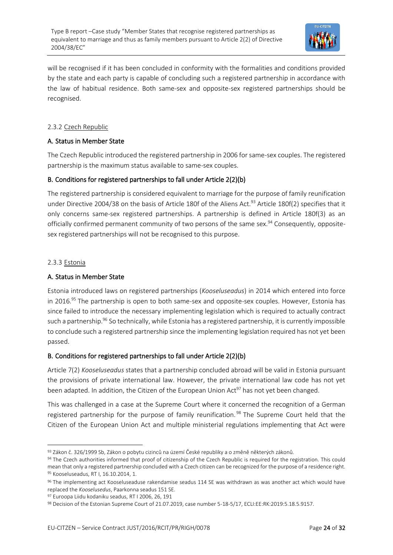

will be recognised if it has been concluded in conformity with the formalities and conditions provided by the state and each party is capable of concluding such a registered partnership in accordance with the law of habitual residence. Both same-sex and opposite-sex registered partnerships should be recognised.

#### 2.3.2 Czech Republic

#### A. Status in Member State

The Czech Republic introduced the registered partnership in 2006 for same-sex couples. The registered partnership is the maximum status available to same-sex couples.

#### B. Conditions for registered partnerships to fall under Article 2(2)(b)

The registered partnership is considered equivalent to marriage for the purpose of family reunification under Directive 2004/38 on the basis of Article 180f of the Aliens Act.<sup>93</sup> Article 180f(2) specifies that it only concerns same-sex registered partnerships. A partnership is defined in Article 180f(3) as an officially confirmed permanent community of two persons of the same sex.<sup>94</sup> Consequently, oppositesex registered partnerships will not be recognised to this purpose.

#### 2.3.3 Estonia

#### A. Status in Member State

Estonia introduced laws on registered partnerships (*Kooseluseadus*) in 2014 which entered into force in 2016.<sup>95</sup> The partnership is open to both same-sex and opposite-sex couples. However, Estonia has since failed to introduce the necessary implementing legislation which is required to actually contract such a partnership.<sup>96</sup> So technically, while Estonia has a registered partnership, it is currently impossible to conclude such a registered partnership since the implementing legislation required has not yet been passed.

#### B. Conditions for registered partnerships to fall under Article 2(2)(b)

Article 7(2) *Kooseluseadus* states that a partnership concluded abroad will be valid in Estonia pursuant the provisions of private international law. However, the private international law code has not yet been adapted. In addition, the Citizen of the European Union Act<sup>97</sup> has not yet been changed.

This was challenged in a case at the Supreme Court where it concerned the recognition of a German registered partnership for the purpose of family reunification.<sup>98</sup> The Supreme Court held that the Citizen of the European Union Act and multiple ministerial regulations implementing that Act were

<sup>93</sup> Zákon č. 326/1999 Sb, Zákon o pobytu cizinců na území České republiky a o změně některých zákonů.

<sup>94</sup> The Czech authorities informed that proof of citizenship of the Czech Republic is required for the registration. This could mean that only a registered partnership concluded with a Czech citizen can be recognized for the purpose of a residence right. <sup>95</sup> Kooseluseadus, RT I, 16.10.2014, 1.

<sup>96</sup> The implementing act Kooseluseaduse rakendamise seadus 114 SE was withdrawn as was another act which would have replaced the *Kooselusedus*, Paarkonna seadus 151 SE.

<sup>97</sup> Euroopa Liidu kodaniku seadus, [RT I 2006, 26, 191](https://www.riigiteataja.ee/akt/1034665)

<sup>98</sup> Decision of the Estonian Supreme Court of 21.07.2019, case number 5-18-5/17, ECLI:EE:RK:2019:5.18.5.9157.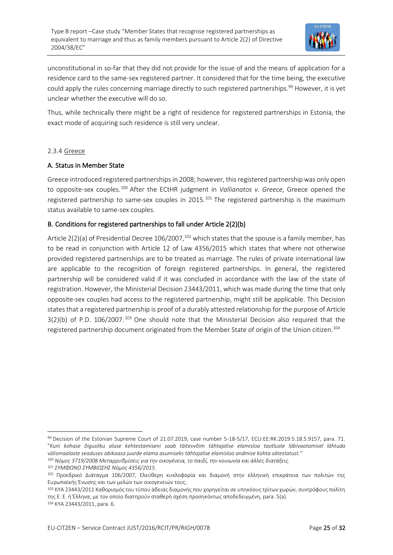

unconstitutional in so-far that they did not provide for the issue of and the means of application for a residence card to the same-sex registered partner. It considered that for the time being, the executive could apply the rules concerning marriage directly to such registered partnerships.<sup>99</sup> However, it is yet unclear whether the executive will do so.

Thus, while technically there might be a right of residence for registered partnerships in Estonia, the exact mode of acquiring such residence is still very unclear.

#### 2.3.4 Greece

#### A. Status in Member State

Greece introduced registered partnershipsin 2008; however, this registered partnership was only open to opposite-sex couples.<sup>100</sup> After the ECtHR judgment in *Vallianatos v. Greece*, Greece opened the registered partnership to same-sex couples in 2015.<sup>101</sup> The registered partnership is the maximum status available to same-sex couples.

#### B. Conditions for registered partnerships to fall under Article 2(2)(b)

Article  $2(2)(a)$  of Presidential Decree 106/2007,<sup>102</sup> which states that the spouse is a family member, has to be read in conjunction with Article 12 of Law 4356/2015 which states that where not otherwise provided registered partnerships are to be treated as marriage. The rules of private international law are applicable to the recognition of foreign registered partnerships. In general, the registered partnership will be considered valid if it was concluded in accordance with the law of the state of registration. However, the Ministerial Decision 23443/2011, which was made during the time that only opposite-sex couples had access to the registered partnership, might still be applicable. This Decision states that a registered partnership is proof of a durably attested relationship for the purpose of Article 3(2)(b) of P.D. 106/2007.<sup>103</sup> One should note that the Ministerial Decision also required that the registered partnership document originated from the Member State of origin of the Union citizen.<sup>104</sup>

<sup>99</sup> Decision of the Estonian Supreme Court of 21.07.2019, case number 5-18-5/17, ECLI:EE:RK:2019:5.18.5.9157, para. 71. "*Kuni kohase õigusliku aluse kehtestamiseni saab täitevvõim tähtajalise elamisloa taotluste läbivaatamisel lähtuda välismaalaste seaduses abikaasa juurde elama asumiseks tähtajalise elamisloa andmise kohta sätestatust."* <sup>100</sup> *Νόμος 3719/2008 Μεταρρυθμίσεις για την οικογένεια, το παιδί, την κοινωνία και άλλες διατάξεις*.

<sup>101</sup> *ΣΥΜΦΩΝΟ ΣΥΜΒΙΩΣΗΣ Νόμος 4356/2015*.

<sup>102</sup> Προεδρικό Διάταγμα 106/2007, Ελεύθερη κυκλοφορία και διαμονή στην ελληνική επικράτεια των πολιτών της Ευρωπαϊκής Ένωσης και των μελών των οικογενειών τους.

<sup>103</sup> ΚΥΑ 23443/2011 Καθορισμός του τύπου άδειας διαμονής που χορηγείται σε υπηκόους τρίτων χωρών, συντρόφους πολίτη της Ε. Ε. ή Έλληνα, με τον οποίο διατηρούν σταθερή σχέση προσηκόντως αποδεδειγμένη, para. 5(a).

<sup>104</sup> ΚΥΑ 23443/2011, para. 6.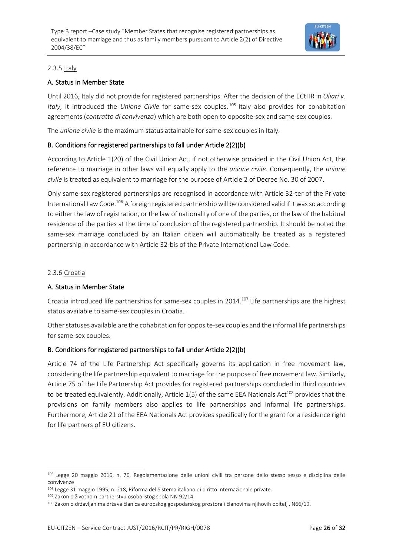

#### 2.3.5 Italy

#### A. Status in Member State

Until 2016, Italy did not provide for registered partnerships. After the decision of the ECtHR in *Oliari v. Italy*, it introduced the *Unione Civile* for same-sex couples. <sup>105</sup> Italy also provides for cohabitation agreements (*contratto di convivenza*) which are both open to opposite-sex and same-sex couples.

The *unione civile* is the maximum status attainable for same-sex couples in Italy.

#### B. Conditions for registered partnerships to fall under Article 2(2)(b)

According to Article 1(20) of the Civil Union Act, if not otherwise provided in the Civil Union Act, the reference to marriage in other laws will equally apply to the *unione civile*. Consequently, the *unione civile* is treated as equivalent to marriage for the purpose of Article 2 of Decree No. 30 of 2007.

Only same-sex registered partnerships are recognised in accordance with Article 32-ter of the Private International Law Code.<sup>106</sup> A foreign registered partnership will be considered valid if it was so according to either the law of registration, or the law of nationality of one of the parties, or the law of the habitual residence of the parties at the time of conclusion of the registered partnership. It should be noted the same-sex marriage concluded by an Italian citizen will automatically be treated as a registered partnership in accordance with Article 32-bis of the Private International Law Code.

#### 2.3.6 Croatia

#### A. Status in Member State

Croatia introduced life partnerships for same-sex couples in 2014.<sup>107</sup> Life partnerships are the highest status available to same-sex couples in Croatia.

Other statuses available are the cohabitation for opposite-sex couples and the informal life partnerships for same-sex couples.

#### B. Conditions for registered partnerships to fall under Article 2(2)(b)

Article 74 of the Life Partnership Act specifically governs its application in free movement law, considering the life partnership equivalent to marriage for the purpose of free movement law. Similarly, Article 75 of the Life Partnership Act provides for registered partnerships concluded in third countries to be treated equivalently. Additionally, Article  $1(5)$  of the same EEA Nationals Act<sup>108</sup> provides that the provisions on family members also applies to life partnerships and informal life partnerships. Furthermore, Article 21 of the EEA Nationals Act provides specifically for the grant for a residence right for life partners of EU citizens.

<sup>105</sup> Legge 20 maggio 2016, n. 76, Regolamentazione delle unioni civili tra persone dello stesso sesso e disciplina delle convivenze

<sup>106</sup> Legge 31 maggio 1995, n. 218, Riforma del Sistema italiano di diritto internazionale private.

<sup>107</sup> Zakon o životnom partnerstvu osoba istog spola NN 92/14.

<sup>108</sup> Zakon o državljanima država članica europskog gospodarskog prostora i članovima njihovih obitelji, N66/19.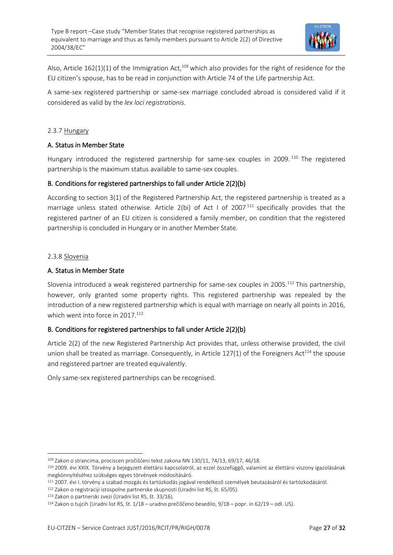

Also, Article  $162(1)(1)$  of the Immigration Act,<sup>109</sup> which also provides for the right of residence for the EU citizen's spouse, has to be read in conjunction with Article 74 of the Life partnership Act.

A same-sex registered partnership or same-sex marriage concluded abroad is considered valid if it considered as valid by the *lex loci registrationis*.

#### 2.3.7 Hungary

#### A. Status in Member State

Hungary introduced the registered partnership for same-sex couples in 2009.<sup>110</sup> The registered partnership is the maximum status available to same-sex couples.

#### B. Conditions for registered partnerships to fall under Article 2(2)(b)

According to section 3(1) of the Registered Partnership Act, the registered partnership is treated as a marriage unless stated otherwise. Article 2(bi) of Act I of 2007<sup>111</sup> specifically provides that the registered partner of an EU citizen is considered a family member, on condition that the registered partnership is concluded in Hungary or in another Member State.

#### 2.3.8 Slovenia

#### A. Status in Member State

Slovenia introduced a weak registered partnership for same-sex couples in 2005.<sup>112</sup> This partnership, however, only granted some property rights. This registered partnership was repealed by the introduction of a new registered partnership which is equal with marriage on nearly all points in 2016, which went into force in  $2017$ <sup>113</sup>

#### B. Conditions for registered partnerships to fall under Article 2(2)(b)

Article 2(2) of the new Registered Partnership Act provides that, unless otherwise provided, the civil union shall be treated as marriage. Consequently, in Article 127(1) of the Foreigners Act<sup>114</sup> the spouse and registered partner are treated equivalently.

Only same-sex registered partnerships can be recognised.

<sup>109</sup> Zakon o strancima, prociscen pročišćeni tekst zakona NN 130/11, 74/13, 69/17, 46/18.

<sup>110</sup> 2009. évi XXIX. Törvény a bejegyzett élettársi kapcsolatról, az ezzel összefüggő, valamint az élettársi viszony igazolásának megkönnyítéséhez szükséges egyes törvények módosításáró.

<sup>111</sup> 2007. évi I. törvény a szabad mozgás és tartózkodás jogával rendelkező személyek beutazásáról és tartózkodásáról.

<sup>112</sup> Zakon o registraciji istospolne partnerske skupnosti (Uradni list RS, št. 65/05).

<sup>113</sup> Zakon o partnerski zvezi (Uradni list RS, št. [33/16\)](http://www.uradni-list.si/1/objava.jsp?sop=2016-01-1426).

<sup>114</sup> Zakon o tujcih (Uradni list RS, št. [1/18](http://www.uradni-list.si/1/objava.jsp?sop=2018-01-0001) – uradno prečiščeno besedilo, 9/18 – [popr.](http://www.uradni-list.si/1/objava.jsp?sop=2018-21-0408) in [62/19](http://www.uradni-list.si/1/objava.jsp?sop=2019-01-2761) – odl. US).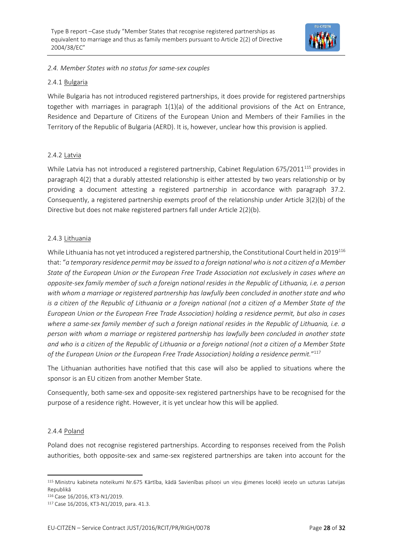

#### *2.4. Member States with no status for same-sex couples*

#### 2.4.1 Bulgaria

While Bulgaria has not introduced registered partnerships, it does provide for registered partnerships together with marriages in paragraph 1(1)(a) of the additional provisions of the Act on Entrance, Residence and Departure of Citizens of the European Union and Members of their Families in the Territory of the Republic of Bulgaria (AERD). It is, however, unclear how this provision is applied.

#### 2.4.2 Latvia

While Latvia has not introduced a registered partnership, Cabinet Regulation 675/2011<sup>115</sup> provides in paragraph 4(2) that a durably attested relationship is either attested by two years relationship or by providing a document attesting a registered partnership in accordance with paragraph 37.2. Consequently, a registered partnership exempts proof of the relationship under Article 3(2)(b) of the Directive but does not make registered partners fall under Article 2(2)(b).

#### 2.4.3 Lithuania

While Lithuania has not yet introduced a registered partnership, the Constitutional Court held in 2019<sup>116</sup> that: "*a temporary residence permit may be issued to a foreign national who is not a citizen of a Member State of the European Union or the European Free Trade Association not exclusively in cases where an opposite-sex family member of such a foreign national resides in the Republic of Lithuania, i.e. a person with whom a marriage or registered partnership has lawfully been concluded in another state and who is a citizen of the Republic of Lithuania or a foreign national (not a citizen of a Member State of the European Union or the European Free Trade Association) holding a residence permit, but also in cases where a same-sex family member of such a foreign national resides in the Republic of Lithuania, i.e. a person with whom a marriage or registered partnership has lawfully been concluded in another state and who is a citizen of the Republic of Lithuania or a foreign national (not a citizen of a Member State of the European Union or the European Free Trade Association) holding a residence permit.*" 117

The Lithuanian authorities have notified that this case will also be applied to situations where the sponsor is an EU citizen from another Member State.

Consequently, both same-sex and opposite-sex registered partnerships have to be recognised for the purpose of a residence right. However, it is yet unclear how this will be applied.

#### 2.4.4 Poland

Poland does not recognise registered partnerships. According to responses received from the Polish authorities, both opposite-sex and same-sex registered partnerships are taken into account for the

<sup>115</sup> Ministru kabineta noteikumi Nr.675 Kārtība, kādā Savienības pilsoņi un viņu ģimenes locekļi ieceļo un uzturas Latvijas Republikā

<sup>116</sup> Case 16/2016, KT3-N1/2019.

<sup>117</sup> Case 16/2016, KT3-N1/2019, para. 41.3.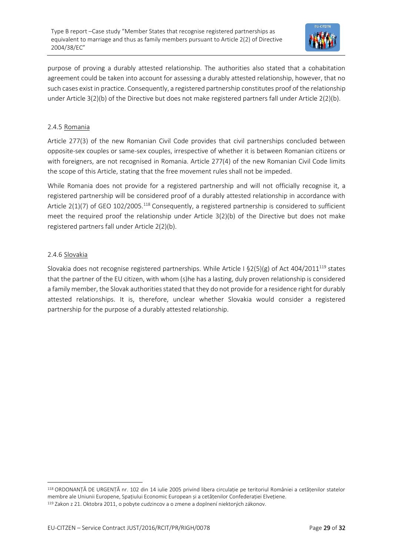

purpose of proving a durably attested relationship. The authorities also stated that a cohabitation agreement could be taken into account for assessing a durably attested relationship, however, that no such cases exist in practice. Consequently, a registered partnership constitutes proof of the relationship under Article 3(2)(b) of the Directive but does not make registered partners fall under Article 2(2)(b).

#### 2.4.5 Romania

Article 277(3) of the new Romanian Civil Code provides that civil partnerships concluded between opposite-sex couples or same-sex couples, irrespective of whether it is between Romanian citizens or with foreigners, are not recognised in Romania. Article 277(4) of the new Romanian Civil Code limits the scope of this Article, stating that the free movement rules shall not be impeded.

While Romania does not provide for a registered partnership and will not officially recognise it, a registered partnership will be considered proof of a durably attested relationship in accordance with Article  $2(1)(7)$  of GEO 102/2005.<sup>118</sup> Consequently, a registered partnership is considered to sufficient meet the required proof the relationship under Article 3(2)(b) of the Directive but does not make registered partners fall under Article 2(2)(b).

#### 2.4.6 Slovakia

Slovakia does not recognise registered partnerships. While Article I §2(5)(g) of Act 404/2011<sup>119</sup> states that the partner of the EU citizen, with whom (s)he has a lasting, duly proven relationship is considered a family member, the Slovak authorities stated that they do not provide for a residence right for durably attested relationships. It is, therefore, unclear whether Slovakia would consider a registered partnership for the purpose of a durably attested relationship.

<sup>118</sup> ORDONANȚĂ DE URGENȚĂ nr. 102 din 14 iulie 2005 privind libera circulație pe teritoriul României a cetățenilor statelor membre ale Uniunii Europene, Spațiului Economic European și a cetățenilor Confederației Elvețiene. <sup>119</sup> Zakon z 21. Oktobra 2011, o pobyte cudzincov a o zmene a doplnení niektorých zákonov.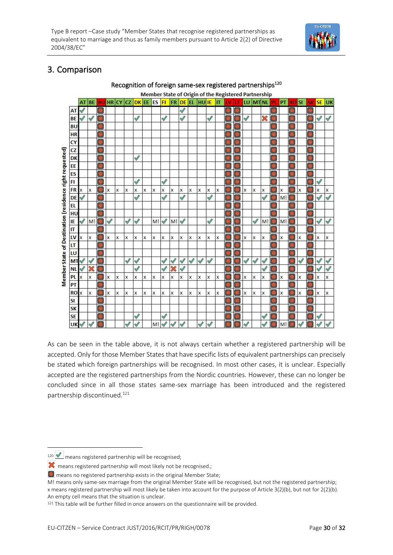

### 3. Comparison



As can be seen in the table above, it is not always certain whether a registered partnership will be accepted. Only for those Member States that have specific lists of equivalent partnerships can precisely be stated which foreign partnerships will be recognised. In most other cases, it is unclear. Especially accepted are the registered partnerships from the Nordic countries. However, these can no longer be concluded since in all those states same-sex marriage has been introduced and the registered partnership discontinued.<sup>121</sup>

120 means registered partnership will be recognised;

**X** means registered partnership will most likely not be recognised.;

 $\Box$  means no registered partnership exists in the original Member State;

M! means only same-sex marriage from the original Member State will be recognised, but not the registered partnership; x means registered partnership will most likely be taken into account for the purpose of Article 3(2)(b), but not for 2(2)(b). An empty cell means that the situation is unclear.

<sup>&</sup>lt;sup>121</sup> This table will be further filled in once answers on the questionnaire will be provided.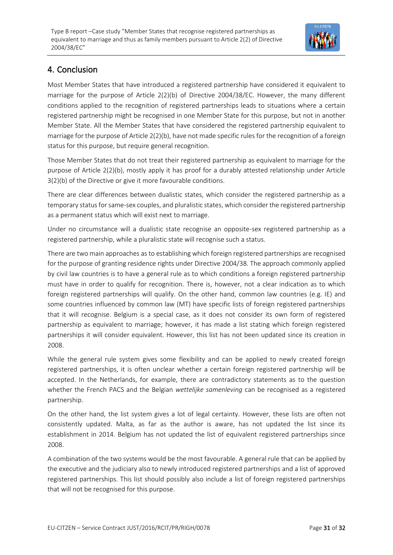

### 4. Conclusion

Most Member States that have introduced a registered partnership have considered it equivalent to marriage for the purpose of Article 2(2)(b) of Directive 2004/38/EC. However, the many different conditions applied to the recognition of registered partnerships leads to situations where a certain registered partnership might be recognised in one Member State for this purpose, but not in another Member State. All the Member States that have considered the registered partnership equivalent to marriage for the purpose of Article 2(2)(b), have not made specific rules for the recognition of a foreign status for this purpose, but require general recognition.

Those Member States that do not treat their registered partnership as equivalent to marriage for the purpose of Article 2(2)(b), mostly apply it has proof for a durably attested relationship under Article 3(2)(b) of the Directive or give it more favourable conditions.

There are clear differences between dualistic states, which consider the registered partnership as a temporary status for same-sex couples, and pluralistic states, which consider the registered partnership as a permanent status which will exist next to marriage.

Under no circumstance will a dualistic state recognise an opposite-sex registered partnership as a registered partnership, while a pluralistic state will recognise such a status.

There are two main approaches as to establishing which foreign registered partnerships are recognised for the purpose of granting residence rights under Directive 2004/38. The approach commonly applied by civil law countries is to have a general rule as to which conditions a foreign registered partnership must have in order to qualify for recognition. There is, however, not a clear indication as to which foreign registered partnerships will qualify. On the other hand, common law countries (e.g. IE) and some countries influenced by common law (MT) have specific lists of foreign registered partnerships that it will recognise. Belgium is a special case, as it does not consider its own form of registered partnership as equivalent to marriage; however, it has made a list stating which foreign registered partnerships it will consider equivalent. However, this list has not been updated since its creation in 2008.

While the general rule system gives some flexibility and can be applied to newly created foreign registered partnerships, it is often unclear whether a certain foreign registered partnership will be accepted. In the Netherlands, for example, there are contradictory statements as to the question whether the French PACS and the Belgian *wettelijke samenleving* can be recognised as a registered partnership.

On the other hand, the list system gives a lot of legal certainty. However, these lists are often not consistently updated. Malta, as far as the author is aware, has not updated the list since its establishment in 2014. Belgium has not updated the list of equivalent registered partnerships since 2008.

A combination of the two systems would be the most favourable. A general rule that can be applied by the executive and the judiciary also to newly introduced registered partnerships and a list of approved registered partnerships. This list should possibly also include a list of foreign registered partnerships that will not be recognised for this purpose.